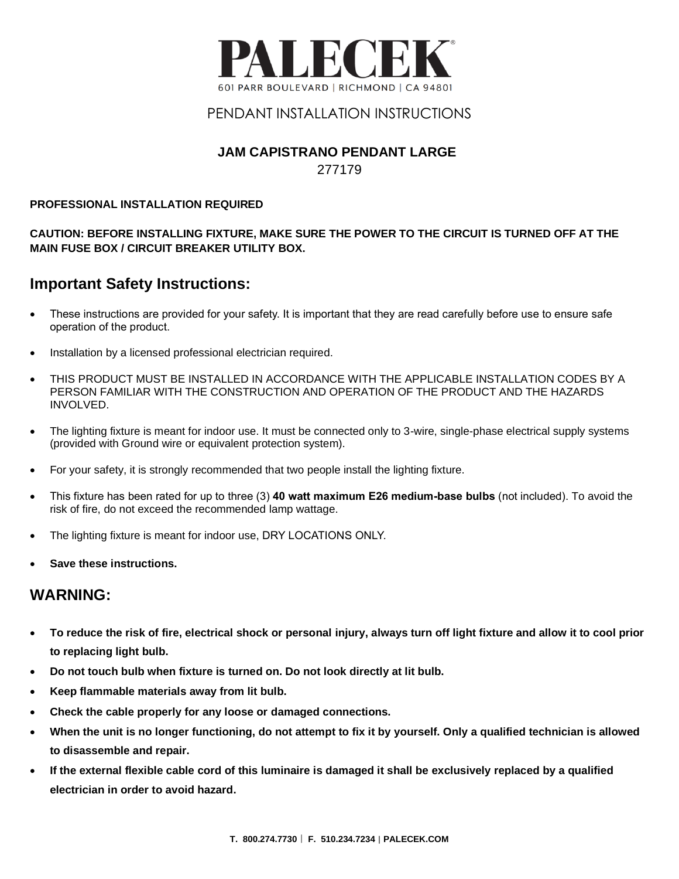

#### PENDANT INSTALLATION INSTRUCTIONS

#### **JAM CAPISTRANO PENDANT LARGE** 277179

#### **PROFESSIONAL INSTALLATION REQUIRED**

**CAUTION: BEFORE INSTALLING FIXTURE, MAKE SURE THE POWER TO THE CIRCUIT IS TURNED OFF AT THE MAIN FUSE BOX / CIRCUIT BREAKER UTILITY BOX.**

## **Important Safety Instructions:**

- These instructions are provided for your safety. It is important that they are read carefully before use to ensure safe operation of the product.
- Installation by a licensed professional electrician required.
- THIS PRODUCT MUST BE INSTALLED IN ACCORDANCE WITH THE APPLICABLE INSTALLATION CODES BY A PERSON FAMILIAR WITH THE CONSTRUCTION AND OPERATION OF THE PRODUCT AND THE HAZARDS INVOLVED.
- The lighting fixture is meant for indoor use. It must be connected only to 3-wire, single-phase electrical supply systems (provided with Ground wire or equivalent protection system).
- For your safety, it is strongly recommended that two people install the lighting fixture.
- This fixture has been rated for up to three (3) **40 watt maximum E26 medium-base bulbs** (not included). To avoid the risk of fire, do not exceed the recommended lamp wattage.
- The lighting fixture is meant for indoor use, DRY LOCATIONS ONLY.
- **Save these instructions.**

## **WARNING:**

- **To reduce the risk of fire, electrical shock or personal injury, always turn off light fixture and allow it to cool prior to replacing light bulb.**
- **Do not touch bulb when fixture is turned on. Do not look directly at lit bulb.**
- **Keep flammable materials away from lit bulb.**
- **Check the cable properly for any loose or damaged connections.**
- **When the unit is no longer functioning, do not attempt to fix it by yourself. Only a qualified technician is allowed to disassemble and repair.**
- **If the external flexible cable cord of this luminaire is damaged it shall be exclusively replaced by a qualified electrician in order to avoid hazard.**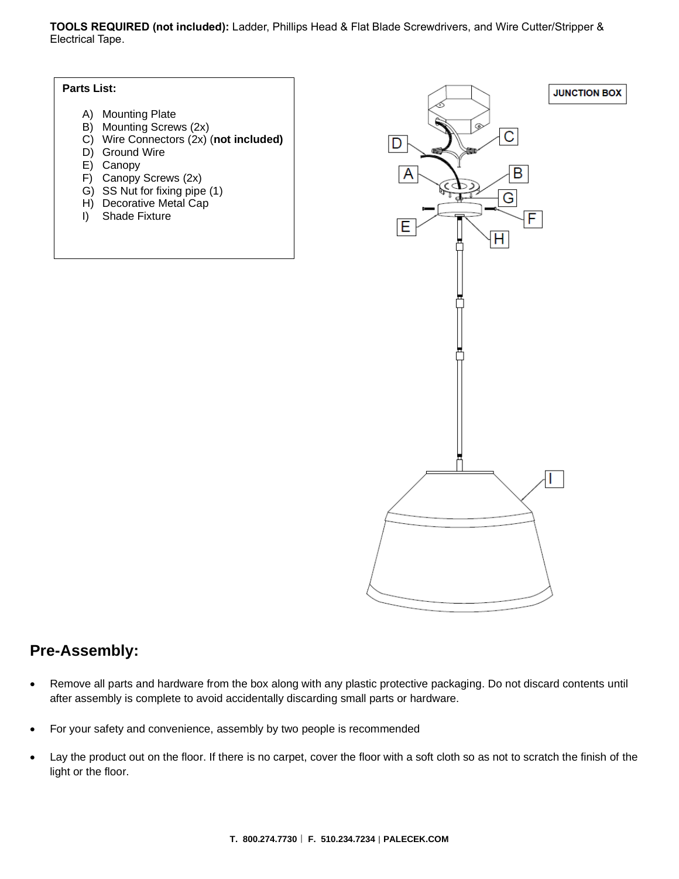**TOOLS REQUIRED (not included):** Ladder, Phillips Head & Flat Blade Screwdrivers, and Wire Cutter/Stripper & Electrical Tape.



## **Pre-Assembly:**

- Remove all parts and hardware from the box along with any plastic protective packaging. Do not discard contents until after assembly is complete to avoid accidentally discarding small parts or hardware.
- For your safety and convenience, assembly by two people is recommended
- Lay the product out on the floor. If there is no carpet, cover the floor with a soft cloth so as not to scratch the finish of the light or the floor.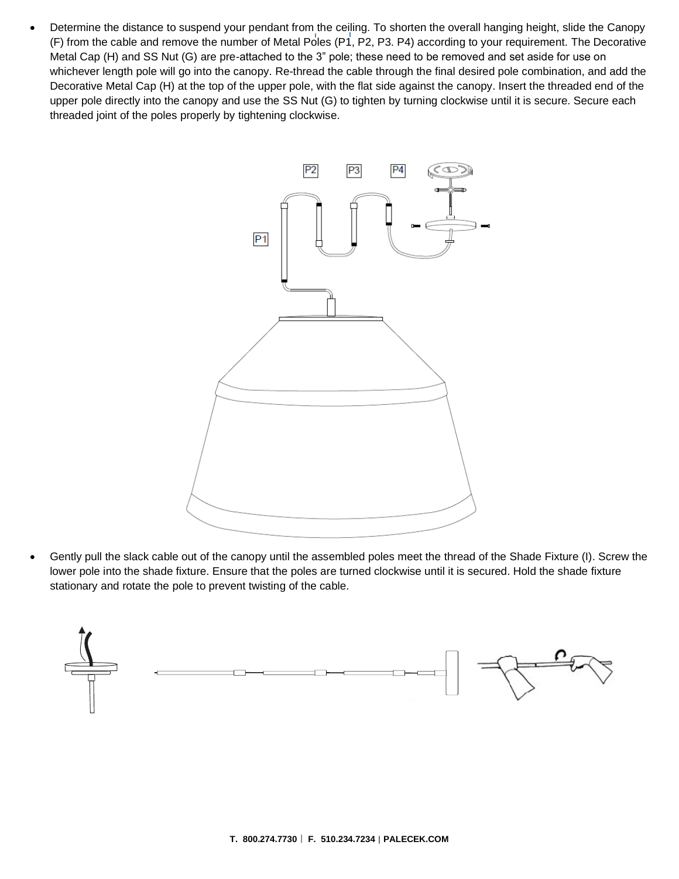• Determine the distance to suspend your pendant from the ceiling. To shorten the overall hanging height, slide the Canopy (F) from the cable and remove the number of Metal Poles (P1, P2, P3. P4) according to your requirement. The Decorative Metal Cap (H) and SS Nut (G) are pre-attached to the 3" pole; these need to be removed and set aside for use on whichever length pole will go into the canopy. Re-thread the cable through the final desired pole combination, and add the Decorative Metal Cap (H) at the top of the upper pole, with the flat side against the canopy. Insert the threaded end of the upper pole directly into the canopy and use the SS Nut (G) to tighten by turning clockwise until it is secure. Secure each threaded joint of the poles properly by tightening clockwise.



• Gently pull the slack cable out of the canopy until the assembled poles meet the thread of the Shade Fixture (I). Screw the lower pole into the shade fixture. Ensure that the poles are turned clockwise until it is secured. Hold the shade fixture stationary and rotate the pole to prevent twisting of the cable.